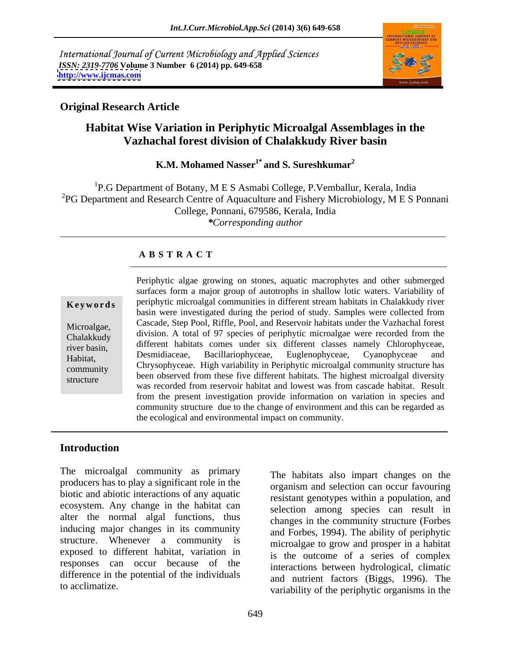International Journal of Current Microbiology and Applied Sciences *ISSN: 2319-7706* **Volume 3 Number 6 (2014) pp. 649-658 <http://www.ijcmas.com>**



#### **Original Research Article**

# **Habitat Wise Variation in Periphytic Microalgal Assemblages in the Vazhachal forest division of Chalakkudy River basin**

**K.M. Mohamed Nasser<sup>1\*</sup> and S. Sureshkumar<sup>2</sup>** 

<sup>1</sup>P.G Department of Botany, M E S Asmabi College, P.Vemballur, Kerala, India <sup>2</sup>PG Department and Research Centre of Aquaculture and Fishery Microbiology, M E S Ponnani College, Ponnani, 679586, Kerala, India *\*Corresponding author*

### **A B S T R A C T**

**Keywords** periphytic microalgal communities in different stream habitats in Chalakkudy river Microalgae, Cascade, Step Pool, Riffle, Pool, and Reservoir habitats under the Vazhachal forest Chalakkudy alvision. A total of  $97$  species of periphytic incroating were recorded from the river basin, different habitats comes under six different classes namely Chlorophyceae, Habitat, Desimulaceae, Bacinariophyceae, Euglenophyceae, Cyanophyceae and community Chrysophyceae. High variability in Periphytic microalgal community structure has Feriphytic algae growing on stones, aquatic macrophytes and other submerged<br>
surfaces form a major group of autotrophs in shallow lotic waters. Variability of<br>
periphytic microalgal communities in different stream habitats surfaces form a major group of autotrophs in shallow lotic waters. Variability of basin were investigated during the period of study. Samples were collected from division. A total of 97 species of periphytic microalgae were recorded from the Desmidiaceae, Bacillariophyceae, Euglenophyceae, Cyanophyceae and been observed from these five different habitats. The highest microalgal diversity was recorded from reservoir habitat and lowest was from cascade habitat. Result from the present investigation provide information on variation in species and community structure due to the change of environment and this can be regarded as the ecological and environmental impact on community.

### **Introduction**

The microalgal community as primary producers has to play a significant role in the biotic and abiotic interactions of any aquatic ecosystem. Any change in the habitat can alter the normal algal functions, thus inducing major changes in its community structure. Whenever a community is exposed to different habitat, variation in responses can occur because of the difference in the potential of the individuals

to acclimatize.<br>
variability of the periphytic organisms in the The habitats also impart changes on the organism and selection can occur favouring resistant genotypes within a population, and selection among species can result in changes in the community structure (Forbes and Forbes, 1994). The ability of periphytic microalgae to grow and prosper in a habitat is the outcome of a series of complex interactions between hydrological, climatic and nutrient factors (Biggs, 1996). The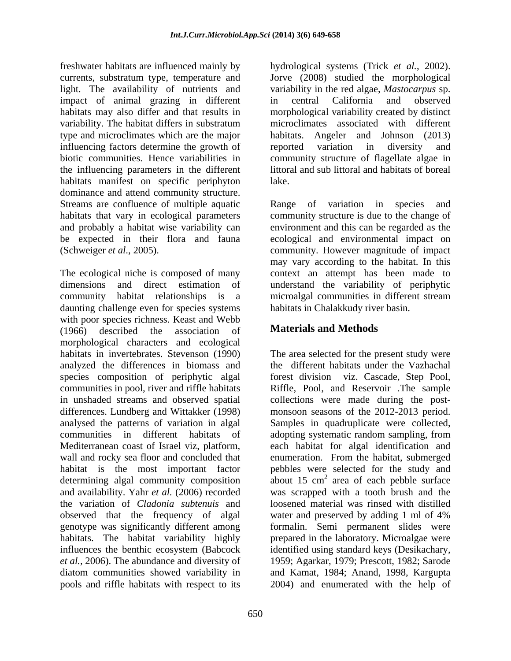freshwater habitats are influenced mainly by hydrological systems (Trick *et al.*, 2002). currents, substratum type, temperature and Jorve (2008) studied the morphological light. The availability of nutrients and impact of animal grazing in different in central California and observed habitats may also differ and that results in variability. The habitat differs in substratum type and microclimates which are the major influencing factors determine the growth of reported variation in diversity and biotic communities. Hence variabilities in community structure of flagellate algae in the influencing parameters in the different habitats manifest on specific periphyton lake. dominance and attend community structure. Streams are confluence of multiple aquatic arrive Range of variation in species and habitats that vary in ecological parameters community structure is due to the change of and probably a habitat wise variability can environment and this can be regarded as the be expected in their flora and fauna ecological and environmental impact on (Schweiger *et al*., 2005). community. However magnitude of impact

The ecological niche is composed of many context an attempt has been made to dimensions and direct estimation of understand the variability of periphytic community habitat relationships is a microalgal communities in different stream daunting challenge even for species systems with poor species richness. Keast and Webb<br>(1966) described the association of **Materials and Methods** (1966) described the association of **Materials and Methods** morphological characters and ecological habitats in invertebrates. Stevenson (1990) The area selected for the present study were analyzed the differences in biomass and species composition of periphytic algal forest division viz. Cascade, Step Pool, communities in pool, river and riffle habitats Riffle, Pool, and Reservoir .The sample in unshaded streams and observed spatial differences. Lundberg and Wittakker (1998) monsoon seasons of the 2012-2013 period.<br>analysed the patterns of variation in algal Samples in quadruplicate were collected, analysed the patterns of variation in algal Samples in quadruplicate were collected, communities in different habitats of adopting systematic random sampling, from Mediterranean coast of Israel viz, platform, wall and rocky sea floor and concluded that enumeration. From the habitat, submerged habitat is the most important factor pebbles were selected for the study and determining algal community composition and availability. Yahr *et al.* (2006) recorded was scrapped with a tooth brush and the the variation of *Cladonia subtenuis* and loosened material was rinsed with distilled observed that the frequency of algal water and preserved by adding 1 ml of 4% genotype was significantly different among formalin. Semi permanent slides were habitats. The habitat variability highly prepared in the laboratory. Microalgae were influences the benthic ecosystem (Babcock identified using standard keys (Desikachary, *et al.,* 2006). The abundance and diversity of 1959; Agarkar, 1979; Prescott, 1982; Sarode diatom communities showed variability in and Kamat, 1984; Anand, 1998, Kargupta pools and riffle habitats with respect to its 2004) and enumerated with the help of

variability in the red algae, *Mastocarpus* sp. in central California and observed morphological variability created by distinct microclimates associated with different habitats. Angeler and Johnson (2013) reported variation in diversity and littoral and sub littoral and habitats of boreal lake.

Range of variation in species may vary according to the habitat. In this habitats in Chalakkudy river basin.

## **Materials and Methods**

the different habitats under the Vazhachal collections were made during the post-monsoon seasons of the 2012-2013 period. each habitat for algal identification and about 15  $\text{cm}^2$  area of each pebble surface water and preserved by adding 1 ml of 4%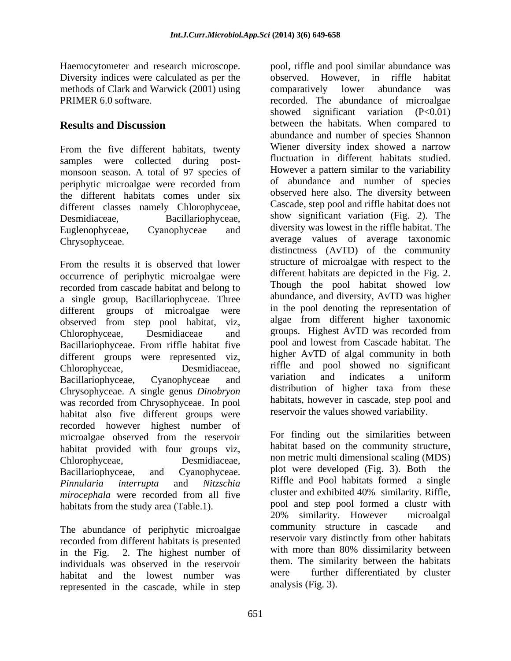Haemocytometer and research microscope. pool, riffle and pool similar abundance was methods of Clark and Warwick (2001) using comparatively lower abundance was<br>PRIMER 6.0 software. The abundance of microalgae

From the five different habitats, twenty samples were collected during post monsoon season. A total of 97 species of periphytic microalgae were recorded from the different habitats comes under six different classes namely Chlorophyceae,

From the results it is observed that lower structure of microalgae with respect to the occurrence of periphytic microalgae were recorded from cascade habitat and belong to a single group, Bacillariophyceae. Three different groups of microalgae were observed from step pool habitat, viz, Chlorophyceae, Desmidiaceae and groups. Highest AvTD was recorded from Bacillariophyceae. From riffle habitat five different groups were represented viz, Chlorophyceae, Desmidiaceae, riffle and pool showed no significant Bacillariophyceae, Cyanophyceae and variation and indicates a uniform Chrysophyceae. A single genus *Dinobryon* was recorded from Chrysophyceae. In pool habitat also five different groups were recorded however highest number of microalgae observed from the reservoir habitat provided with four groups viz, Chlorophyceae, Desmidiaceae, non metric multi dimensional scaling (MDS) Bacillariophyceae, and Cyanophyceae. plot were developed (Fig. 3). Both the *Pinnularia interrupta* and *Nitzschia*  Riffle and Pool habitats formed a single *mirocephala* were recorded from all five cluster and exhibited 40% similarity. Riffle,

recorded from different habitats is presented individuals was observed in the reservoir them.<br>hebitate and the lowest number was were habitat and the lowest number was represented in the cascade, while in step

Diversity indices were calculated as perthe observed. However, in riffle habitat PRIMER 6.0 software. The abundance of microalgae recorded. The abundance of microalgae **Results and Discussion** between the habitats. When compared to Desmidiaceae, Bacillariophyceae, show significant variation (Fig. 2). The Euglenophyceae, Cyanophyceae and diversity was lowest in the riffle habitat. The Chrysophyceae. average values of average taxonomic comparatively lower abundance was showed significant variation  $(P<0.01)$ abundance and number of species Shannon Wiener diversity index showed a narrow fluctuation in different habitats studied. However a pattern similar to the variability of abundance and number of species observed here also. The diversity between Cascade, step pool and riffle habitat does not diversity was lowest in the riffle habitat. The distinctness (AvTD) of the community structure of microalgae with respect to the different habitats are depicted in the Fig. 2. Though the pool habitat showed low abundance, and diversity, AvTD was higher in the pool denoting the representation of algae from different higher taxonomic pool and lowest from Cascade habitat. The higher AvTD of algal community in both variation and indicates a uniform distribution of higher taxa from these habitats, however in cascade, step pool and reservoir the values showed variability.

habitats from the study area (Table.1). pool and step pool formed a clustr with<br>20% similarity. However microalgal The abundance of periphytic microalgae community structure in cascade and in the Fig. 2. The highest number of with more than 80% dissimilarity between For finding out the similarities between habitat based on the community structure, plot were developed (Fig. 3). Both the cluster and exhibited 40% similarity. Riffle, pool and step pool formed a clustr with 20% similarity. However microalgal community structure in cascade reservoir vary distinctly from other habitats them. The similarity between the habitats further differentiated by cluster analysis (Fig. 3).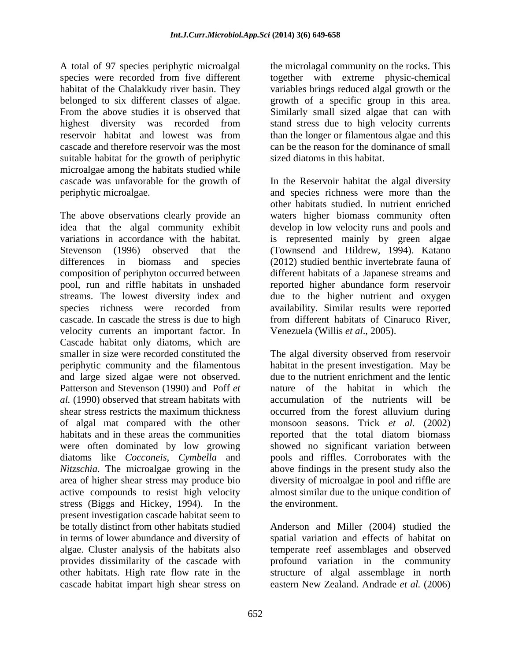A total of 97 species periphytic microalgal species were recorded from five different together with extreme physic-chemical habitat of the Chalakkudy river basin. They variables brings reduced algal growth or the belonged to six different classes of algae. growth of a specific group in this area. From the above studies it is observed that Similarly small sized algae that can with highest diversity was recorded from stand stress due to high velocity currents reservoir habitat and lowest was from cascade and therefore reservoir was the most suitable habitat for the growth of periphytic microalgae among the habitats studied while

The above observations clearly provide an waters higher biomass community often idea that the algal community exhibit develop in low velocity runs and pools and variations in accordance with the habitat. is represented mainly by green algae Stevenson (1996) observed that the (Townsend and Hildrew, 1994). Katano differences in biomass and species (2012) studied benthic invertebrate fauna of composition of periphyton occurred between pool, run and riffle habitats in unshaded reported higher abundance form reservoir streams. The lowest diversity index and due to the higher nutrient and oxygen species richness were recorded from availability. Similar results were reported cascade. In cascade the stress is due to high velocity currents an important factor. In Cascade habitat only diatoms, which are of algal mat compared with the other stress (Biggs and Hickey, 1994). In the present investigation cascade habitat seem to be totally distinct from other habitats studied Anderson and Miller (2004) studied the in terms of lower abundance and diversity of spatial variation and effects of habitat on algae. Cluster analysis of the habitats also temperate reef assemblages and observed provides dissimilarity of the cascade with profound variation in the community other habitats. High rate flow rate in the structure of algal assemblage in north cascade habitat impart high shear stress on

the microlagal community on the rocks. This than the longer or filamentous algae and this can be the reason for the dominance of small sized diatoms in this habitat.

cascade was unfavorable for the growth of In the Reservoir habitat the algal diversity periphytic microalgae. and species richness were more than the other habitats studied. In nutrient enriched different habitats of a Japanese streams and from different habitats of Cinaruco River, Venezuela (Willis *et al*., 2005).

smaller in size were recorded constituted the The algal diversity observed from reservoir periphytic community and the filamentous habitat in the present investigation. May be and large sized algae were not observed. due to the nutrient enrichment and the lentic Patterson and Stevenson (1990) and Poff *et*  nature of the habitat in which the *al.* (1990) observed that stream habitats with accumulation of the nutrients will be shear stress restricts the maximum thickness occurred from the forest alluvium during habitats and in these areas the communities are reported that the total diatom biomass were often dominated by low growing showed no significant variation between diatoms like *Cocconeis, Cymbella* and pools and riffles. Corroborates with the *Nitzschia*. The microalgae growing in the above findings in the present study also the area of higher shear stress may produce bio diversity of microalgae in pool and riffle are active compounds to resist high velocity almost similar due to the unique condition of monsoon seasons. Trick *et al.* (2002) the environment.

eastern New Zealand. Andrade *et al.*(2006)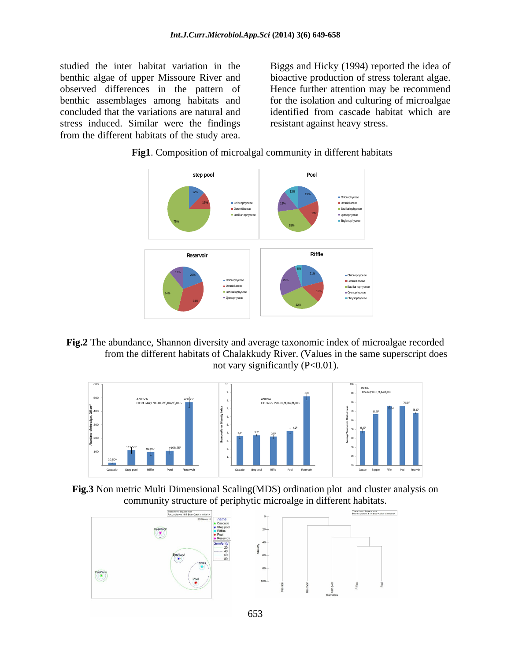studied the inter habitat variation in the Biggs and Hicky (1994) reported the idea of benthic algae of upper Missoure River and bioactive production of stress tolerant algae. observed differences in the pattern of Hence further attention may be recommend benthic assemblages among habitats and concluded that the variations are natural and identified from cascade habitat which are stress induced. Similar were the findings studied the inter habitat variation in the Biggs and Hicky (1994) reported the idea of bonestical area. The studies of the pattern of bioactive production of stress tolerant algae. Hence further attention may be recommend

for the isolation and culturing of microalgae resistant against heavy stress.





**Fig.2** The abundance, Shannon diversity and average taxonomic index of microalgae recorded from the different habitats of Chalakkudy River. (Values in the same superscript does not vary significantly  $(P<0.01)$ .



**Fig.3** Non metric Multi Dimensional Scaling(MDS) ordination plot and cluster analysis on

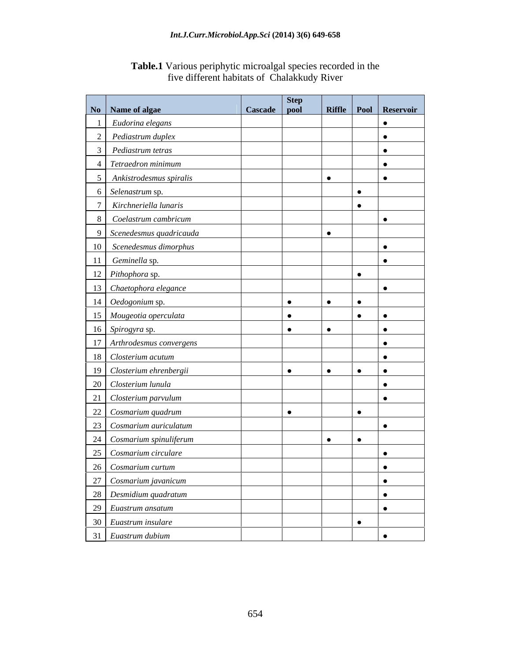| No Name of algae                                                                            | Step<br>Cascade pool |           | Riffle   Pool   Reservoir |
|---------------------------------------------------------------------------------------------|----------------------|-----------|---------------------------|
| 1 Eudorina elegans                                                                          |                      |           | $\bullet$                 |
| 2 Pediastrum duplex                                                                         |                      |           |                           |
| 3 Pediastrum tetras                                                                         |                      |           | $\bullet$                 |
| 4 Tetraedron minimum                                                                        |                      |           |                           |
| 5 Ankistrodesmus spiralis                                                                   |                      |           | $\bullet$                 |
| 6 Selenastrum sp.                                                                           |                      |           |                           |
| 7 Kirchneriella lunaris                                                                     |                      |           | $\bullet$                 |
| 8 Coelastrum cambricum                                                                      |                      |           |                           |
| 9 Scenedesmus quadricauda                                                                   |                      |           |                           |
| 10 Scenedesmus dimorphus                                                                    |                      |           |                           |
| 11 Geminella sp.                                                                            |                      |           | $\bullet$                 |
| 12 Pithophora sp.                                                                           |                      |           | $\bullet$                 |
| 13 Chaetophora elegance                                                                     |                      |           | $\bullet$                 |
| 14 Oedogonium sp.                                                                           |                      |           | $\bullet$                 |
| 15 Mougeotia operculata                                                                     |                      |           | $\bullet$<br>$\bullet$    |
| 16 Spirogyra sp.                                                                            |                      |           |                           |
| 17 Arthrodesmus convergens                                                                  |                      |           | $\bullet$                 |
| 18 Closterium acutum                                                                        |                      |           |                           |
| 19 Closterium ehrenbergii                                                                   |                      | $\bullet$ | $\bullet$<br>$\bullet$    |
| 20 Closterium lunula                                                                        |                      |           |                           |
| 21 Closterium parvulum                                                                      |                      |           | $\bullet$                 |
| 22 Cosmarium quadrum                                                                        |                      |           | $\bullet$                 |
| 23 Cosmarium auriculatum                                                                    |                      |           | $\bullet$                 |
| 24 Cosmarium spinuliferum                                                                   |                      | $\bullet$ |                           |
| 25 Cosmarium circulare                                                                      |                      |           | $\bullet$                 |
| 26 Cosmarium curtum                                                                         |                      |           |                           |
| 27 Cosmarium javanicum                                                                      |                      |           | $\bullet$                 |
|                                                                                             |                      |           | $\bullet$                 |
|                                                                                             |                      |           | $\bullet$                 |
|                                                                                             |                      |           |                           |
| 28 Desmidium quadratum<br>29 Euastrum ansatum<br>30 Euastrum insulare<br>31 Euastrum dubium |                      |           | $\bullet$                 |

**Table.1** Various periphytic microalgal species recorded in the five different habitats of Chalakkudy River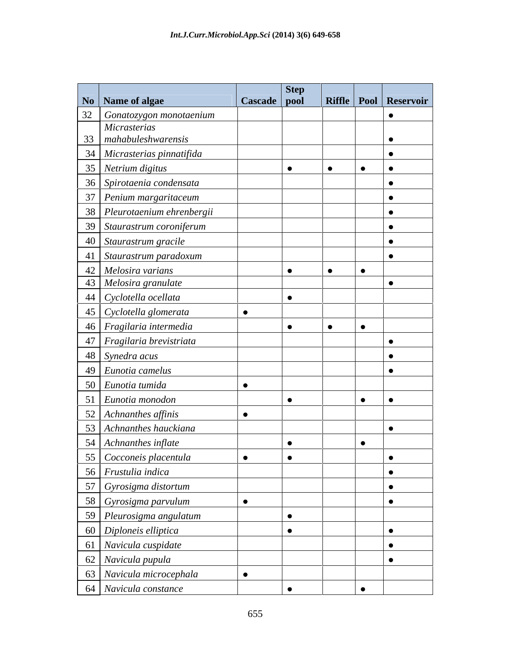|                |                                                                                                                                                                                                                                                  |                | <b>Step</b> |                           |
|----------------|--------------------------------------------------------------------------------------------------------------------------------------------------------------------------------------------------------------------------------------------------|----------------|-------------|---------------------------|
|                | No   Name of algae                                                                                                                                                                                                                               | Cascade   pool |             | Riffle   Pool   Reservoir |
| $\frac{32}{1}$ | Gonatozygon monotaenium                                                                                                                                                                                                                          |                |             | $\bullet$                 |
|                | Micrasterias                                                                                                                                                                                                                                     |                |             |                           |
|                |                                                                                                                                                                                                                                                  |                |             | $\bullet$                 |
|                | 33 mahabuleshwarensis<br>34 Micrasterias pinnatifida<br>35 Netrium digitus                                                                                                                                                                       |                |             | $\bullet$<br>$\bullet$    |
|                | 36 Spirotaenia condensata                                                                                                                                                                                                                        |                |             | $\bullet$                 |
|                | 37 Penium margaritaceum                                                                                                                                                                                                                          |                |             | $\bullet$                 |
|                | 38 Pleurotaenium ehrenbergii                                                                                                                                                                                                                     |                |             | $\bullet$                 |
|                | 39 Staurastrum coroniferum                                                                                                                                                                                                                       |                |             | $\bullet$                 |
|                | 40 Staurastrum gracile                                                                                                                                                                                                                           |                |             | $\bullet$                 |
|                | 41 Staurastrum paradoxum                                                                                                                                                                                                                         |                |             | $\bullet$                 |
|                |                                                                                                                                                                                                                                                  |                |             | $\bullet$                 |
|                | 42 Melosira varians<br>43 Melosira granulate                                                                                                                                                                                                     |                |             | $\bullet$                 |
|                | 44 Cyclotella ocellata                                                                                                                                                                                                                           |                |             |                           |
|                | 45 Cyclotella glomerata                                                                                                                                                                                                                          | $\bullet$      |             |                           |
|                | 46 Fragilaria intermedia                                                                                                                                                                                                                         |                |             | $\bullet$                 |
|                | 47 Fragilaria brevistriata                                                                                                                                                                                                                       |                |             | $\bullet$                 |
|                | 48 Synedra acus                                                                                                                                                                                                                                  |                |             | $\bullet$                 |
|                | 49 Eunotia camelus                                                                                                                                                                                                                               |                |             | $\bullet$                 |
|                | 50 Eunotia tumida                                                                                                                                                                                                                                | $\bullet$      |             |                           |
|                | 51 Eunotia monodon                                                                                                                                                                                                                               |                | $\bullet$   | $\bullet$<br>$\bullet$    |
|                | 52 Achnanthes affinis                                                                                                                                                                                                                            | $\bullet$      |             |                           |
| $\frac{53}{2}$ | Achnanthes hauckiana                                                                                                                                                                                                                             |                |             | $\bullet$                 |
|                |                                                                                                                                                                                                                                                  |                |             | $\bullet$                 |
|                |                                                                                                                                                                                                                                                  | $\bullet$      |             | $\bullet$                 |
|                |                                                                                                                                                                                                                                                  |                |             | $\bullet$                 |
|                |                                                                                                                                                                                                                                                  |                |             | $\bullet$                 |
|                |                                                                                                                                                                                                                                                  | $\bullet$      |             | $\bullet$                 |
|                |                                                                                                                                                                                                                                                  |                | $\bullet$   |                           |
|                |                                                                                                                                                                                                                                                  |                | $\bullet$   | $\bullet$                 |
|                |                                                                                                                                                                                                                                                  |                |             | $\bullet$                 |
|                |                                                                                                                                                                                                                                                  |                |             | $\bullet$                 |
|                |                                                                                                                                                                                                                                                  | $\bullet$      |             |                           |
|                | 33 Achnanthes hauckiana<br>54 Achnanthes inflate<br>55 Cocconeis placentula<br>56 Frustulia indica<br>57 Gyrosigma distortum<br>58 Gyrosigma parvulum<br>59 Pleurosigma angulatum<br>60 Diploneis elliptica<br>61 Navicula cuspidate<br>62 Navic |                |             |                           |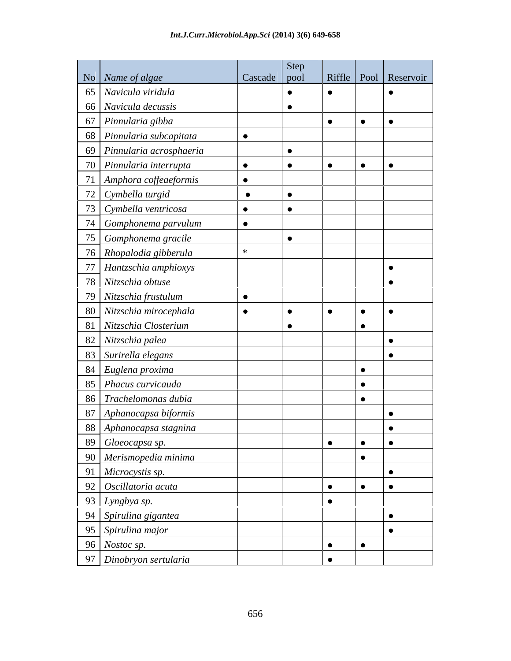|     |                                                                                                                                       |                | Step      |           |           |                           |
|-----|---------------------------------------------------------------------------------------------------------------------------------------|----------------|-----------|-----------|-----------|---------------------------|
|     | No Name of algae                                                                                                                      | Cascade   pool |           |           |           | Riffle   Pool   Reservoir |
|     | 65 Navicula viridula                                                                                                                  |                | $\bullet$ | $\bullet$ |           |                           |
|     | 66 Navicula decussis                                                                                                                  |                | $\bullet$ |           |           |                           |
|     | 67 Pinnularia gibba                                                                                                                   |                |           | $\bullet$ | $\bullet$ | $\bullet$                 |
| - - | 68 Pinnularia subcapitata                                                                                                             | ●              |           |           |           |                           |
|     | 69 Pinnularia acrosphaeria                                                                                                            |                | $\bullet$ |           |           |                           |
|     | 70 Pinnularia interrupta                                                                                                              | ●              | $\bullet$ | $\bullet$ | $\bullet$ | $\bullet$                 |
|     | 71 Amphora coffeaeformis                                                                                                              | $\bullet$      |           |           |           |                           |
|     | 72 Cymbella turgid                                                                                                                    | $\bullet$      |           |           |           |                           |
|     | 73 Cymbella ventricosa                                                                                                                | ●              | $\bullet$ |           |           |                           |
|     | 74 Gomphonema parvulum                                                                                                                | ●              |           |           |           |                           |
|     | 15 Gomphonema gracile<br>16 Rhopalodia gibberula                                                                                      |                | $\bullet$ |           |           |                           |
|     |                                                                                                                                       | ∗              |           |           |           |                           |
|     | 77 Hantzschia amphioxys                                                                                                               |                |           |           |           |                           |
|     | 18 Nitzschia obtuse<br>19 Nitzschia frustulum                                                                                         |                |           |           |           | $\bullet$                 |
|     |                                                                                                                                       | ●              |           |           |           |                           |
|     | 80 Nitzschia mirocephala                                                                                                              | ∣ ●            | $\bullet$ | $\bullet$ | $\bullet$ |                           |
|     | 81 Nitzschia Closterium                                                                                                               |                | $\bullet$ |           | $\bullet$ |                           |
|     |                                                                                                                                       |                |           |           |           |                           |
|     | 82 Nitzschia palea<br>83 Surirella elegans                                                                                            |                |           |           |           |                           |
|     | 84 Euglena proxima                                                                                                                    |                |           |           | $\bullet$ |                           |
|     | 85 Phacus curvicauda                                                                                                                  |                |           |           | $\bullet$ |                           |
|     | 86 Trachelomonas dubia                                                                                                                |                |           |           | - 4       |                           |
|     | 87 Aphanocapsa biformis                                                                                                               |                |           |           |           |                           |
|     | 88 Aphanocapsa stagnina                                                                                                               |                |           |           |           |                           |
|     | 89 Gloeocapsa sp.<br>90 Merismopedia minima<br>91 Microcystis sp.<br>92 Oscillatoria acuta<br>93 Lyngbya sp.<br>94 Spirulina gigantea |                |           | $\bullet$ | $\bullet$ | $\bullet$                 |
|     |                                                                                                                                       |                |           |           | $\bullet$ |                           |
|     |                                                                                                                                       |                |           |           |           | $\bullet$                 |
|     |                                                                                                                                       |                |           | $\bullet$ | $\bullet$ | $\bullet$                 |
|     |                                                                                                                                       |                |           |           |           |                           |
|     |                                                                                                                                       |                |           |           |           |                           |
|     |                                                                                                                                       |                |           |           |           |                           |
|     |                                                                                                                                       |                |           | $\bullet$ | $\bullet$ |                           |
|     | 91 Spirulina major<br>95 Spirulina major<br>96 Nostoc sp.<br>97 Dinobryon sertularia                                                  |                |           |           |           |                           |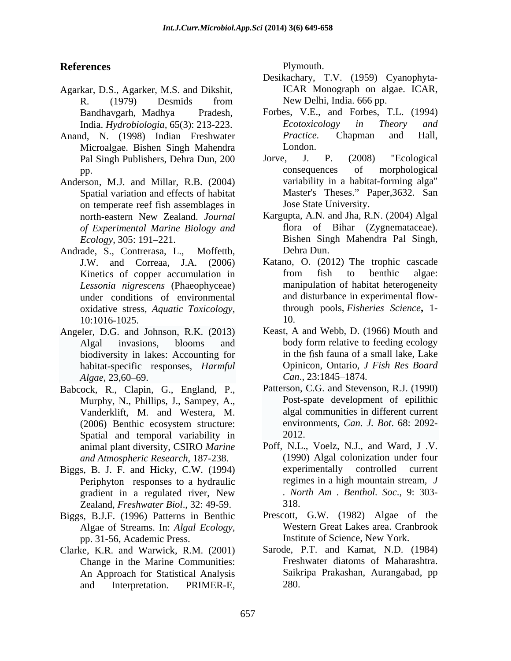## **References** Plymouth.

- Agarkar, D.S., Agarker, M.S. and Dikshit,
- Microalgae. Bishen Singh Mahendra
- Anderson, M.J. and Millar, R.B. (2004) on temperate reef fish assemblages in *of Experimental Marine Biology and*
- Andrade, S., Contrerasa, L., Moffettb, *Lessonia nigrescens* (Phaeophyceae)
- Angeler, D.G. and Johnson, R.K. (2013) biodiversity in lakes: Accounting for habitat-specific responses, *Harmful* Opinicon, Ontario, *J*<br>*Algae*, 23.60–69. *Can.,* 23:1845–1874. *Algae*, 23,60–69. *Can.*, 23:1845–1874.
- Babcock, R., Clapin, G., England, P., Murphy, N., Phillips, J., Sampey, A., Vanderklift, M. and Westera, M. Spatial and temporal variability in 2012. *and Atmospheric Research*, 187-238.
- Biggs, B. J. F. and Hicky, C.W. (1994) Periphyton responses to a hydraulic Zealand, *Freshwater Biol*., 32: 49-59.
- Biggs, B.J.F. (1996) Patterns in Benthic Algae of Streams. In: *Algal Ecology,* pp. 31-56, Academic Press.
- Clarke, K.R. and Warwick, R.M. (2001) Change in the Marine Communities: An Approach for Statistical Analysis and Interpretation. PRIMER-E,

Plymouth.

- R. (1979) Desmids from New Delhi, India. 666 pp. Desikachary, T.V. (1959) Cyanophyta-ICAR Monograph on algae. ICAR, New Delhi, India. 666 pp.
- Bandhavgarh, Madhya Pradesh, Forbes, V.E., and Forbes, T.L. (1994) India. *Hydrobiologia,* 65(3): 213-223. Anand, N. (1998) Indian Freshwater *Practice*. Chapman and Hall,<br>Microalgae Bishen Singh Mahendra London. *Ecotoxicology in Theory and Practice.* Chapman and Hall, London.
	- Pal Singh Publishers, Dehra Dun, 200 Jorve, J. P. (2008) "Ecological pp. consequences of morphological Spatial variation and effects of habitat Master's Theses." Paper, 3632. San Jorve, J. P. (2008) "Ecological consequences of morphological variability in a habitat-forming alga" Jose State University.
	- north-eastern New Zealand. *Journal*  Kargupta, A.N. and Jha, R.N. (2004) Algal Ecology, 305: 191–221. **Bishen Singh Mahendra Pal Singh,** flora of Bihar (Zygnemataceae). Dehra Dun.
	- J.W. and Correaa, J.A. (2006) Katano, O. (2012) The trophic cascade Kinetics of copper accumulation in from fish to benthic algae: under conditions of environmental and disturbance in experimental flowoxidative stress, *Aquatic Toxicology*, through pools, *Fisheries Science*, 1-<br>10:1016-1025. 10. from fish to benthic algae: manipulation of habitat heterogeneity through pools, *Fisheries Science***,** 1- 10.
	- Algal invasions, blooms and body form relative to feeding ecology Keast, A and Webb, D. (1966) Mouth and body form relative to feeding ecology in the fish fauna of a small lake, Lake Opinicon, Ontario, *J Fish Res Board Can.*, 23:1845–1874.
	- (2006) Benthic ecosystem structure: environments, Can. J. Bot. 68: 2092-Patterson, C.G. and Stevenson, R.J. (1990) Post-spate development of epilithic algal communities in different current environments, *Can. J. Bot*. 68: 2092- 2012.
	- animal plant diversity, CSIRO *Marine*  gradient in a regulated river, New . North Am Benthol. Soc., 9: 303-Poff, N.L., Voelz, N.J., and Ward, J .V. (1990) Algal colonization under four experimentally controlled current regimes in a high mountain stream*, J . North Am . Benthol. Soc*., 9: 303- 318.
		- Prescott, G.W. (1982) Algae of the Western Great Lakes area. Cranbrook Institute of Science, New York.
		- Sarode, P.T. and Kamat, N.D. (1984) Freshwater diatoms of Maharashtra. Saikripa Prakashan, Aurangabad, pp 280.